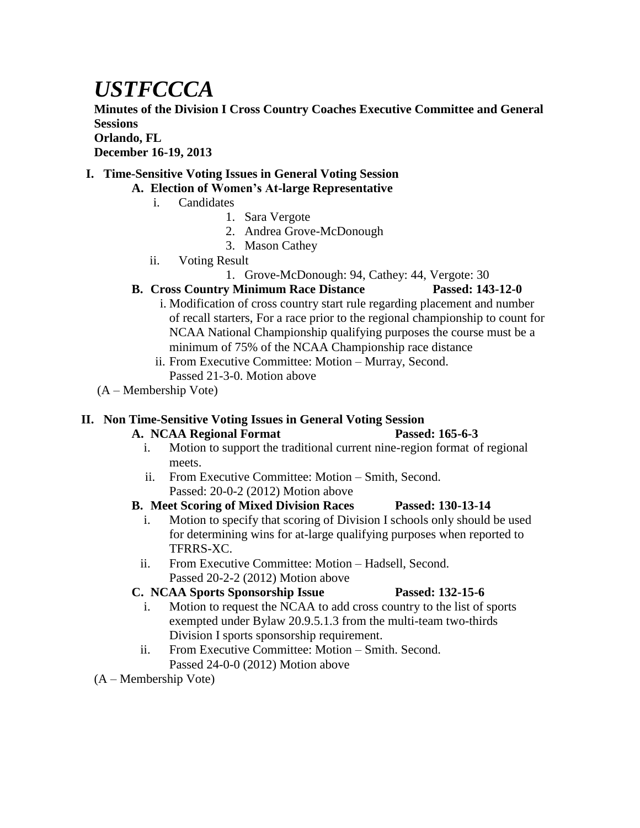# *USTFCCCA*

**Minutes of the Division I Cross Country Coaches Executive Committee and General Sessions**

#### **Orlando, FL**

**December 16-19, 2013**

#### **I. Time-Sensitive Voting Issues in General Voting Session**

#### **A. Election of Women's At-large Representative**

- i. Candidates
	- 1. Sara Vergote
	- 2. Andrea Grove-McDonough
	- 3. Mason Cathey
- ii. Voting Result
	- 1. Grove-McDonough: 94, Cathey: 44, Vergote: 30

# **B. Cross Country Minimum Race Distance Passed: 143-12-0**

- i. Modification of cross country start rule regarding placement and number of recall starters, For a race prior to the regional championship to count for NCAA National Championship qualifying purposes the course must be a minimum of 75% of the NCAA Championship race distance
- ii. From Executive Committee: Motion Murray, Second. Passed 21-3-0. Motion above
- (A Membership Vote)

# **II. Non Time-Sensitive Voting Issues in General Voting Session**

# **A. NCAA Regional Format Passed: 165-6-3**

- i. Motion to support the traditional current nine-region format of regional meets.
- ii. From Executive Committee: Motion Smith, Second. Passed: 20-0-2 (2012) Motion above

# **B. Meet Scoring of Mixed Division Races Passed: 130-13-14**

- i. Motion to specify that scoring of Division I schools only should be used for determining wins for at-large qualifying purposes when reported to TFRRS-XC.
- ii. From Executive Committee: Motion Hadsell, Second. Passed 20-2-2 (2012) Motion above

# **C. NCAA Sports Sponsorship Issue Passed: 132-15-6**

- i. Motion to request the NCAA to add cross country to the list of sports exempted under Bylaw 20.9.5.1.3 from the multi-team two-thirds Division I sports sponsorship requirement.
- ii. From Executive Committee: Motion Smith. Second. Passed 24-0-0 (2012) Motion above

(A – Membership Vote)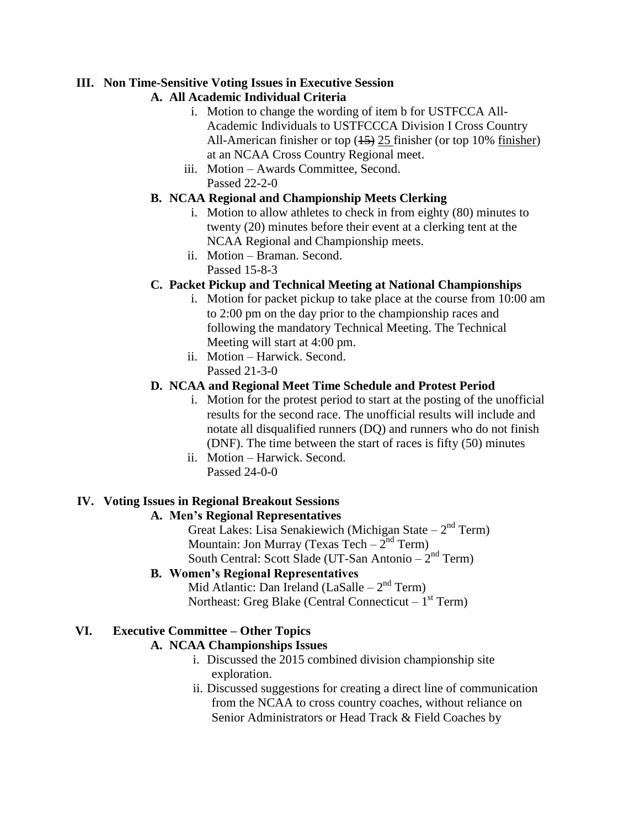#### **III. Non Time-Sensitive Voting Issues in Executive Session**

### **A. All Academic Individual Criteria**

- i. Motion to change the wording of item b for USTFCCA All-Academic Individuals to USTFCCCA Division I Cross Country All-American finisher or top (45) 25 finisher (or top 10% finisher) at an NCAA Cross Country Regional meet.
- iii. Motion Awards Committee, Second. Passed 22-2-0

### **B. NCAA Regional and Championship Meets Clerking**

- i. Motion to allow athletes to check in from eighty (80) minutes to twenty (20) minutes before their event at a clerking tent at the NCAA Regional and Championship meets.
- ii. Motion Braman. Second. Passed 15-8-3

# **C. Packet Pickup and Technical Meeting at National Championships**

- i. Motion for packet pickup to take place at the course from 10:00 am to 2:00 pm on the day prior to the championship races and following the mandatory Technical Meeting. The Technical Meeting will start at 4:00 pm.
- ii. Motion Harwick. Second. Passed 21-3-0

#### **D. NCAA and Regional Meet Time Schedule and Protest Period**

- i. Motion for the protest period to start at the posting of the unofficial results for the second race. The unofficial results will include and notate all disqualified runners (DQ) and runners who do not finish (DNF). The time between the start of races is fifty (50) minutes
- ii. Motion Harwick. Second. Passed 24-0-0

# **IV. Voting Issues in Regional Breakout Sessions**

# **A. Men's Regional Representatives**

Great Lakes: Lisa Senakiewich (Michigan State  $-2<sup>nd</sup>$  Term) Mountain: Jon Murray (Texas Tech  $-2^{nd}$  Term) South Central: Scott Slade (UT-San Antonio  $-2<sup>nd</sup>$  Term)

#### **B. Women's Regional Representatives**

Mid Atlantic: Dan Ireland (LaSalle  $-2<sup>nd</sup>$  Term) Northeast: Greg Blake (Central Connecticut – 1<sup>st</sup> Term)

#### **VI. Executive Committee – Other Topics**

#### **A. NCAA Championships Issues**

- i. Discussed the 2015 combined division championship site exploration.
- ii. Discussed suggestions for creating a direct line of communication from the NCAA to cross country coaches, without reliance on Senior Administrators or Head Track & Field Coaches by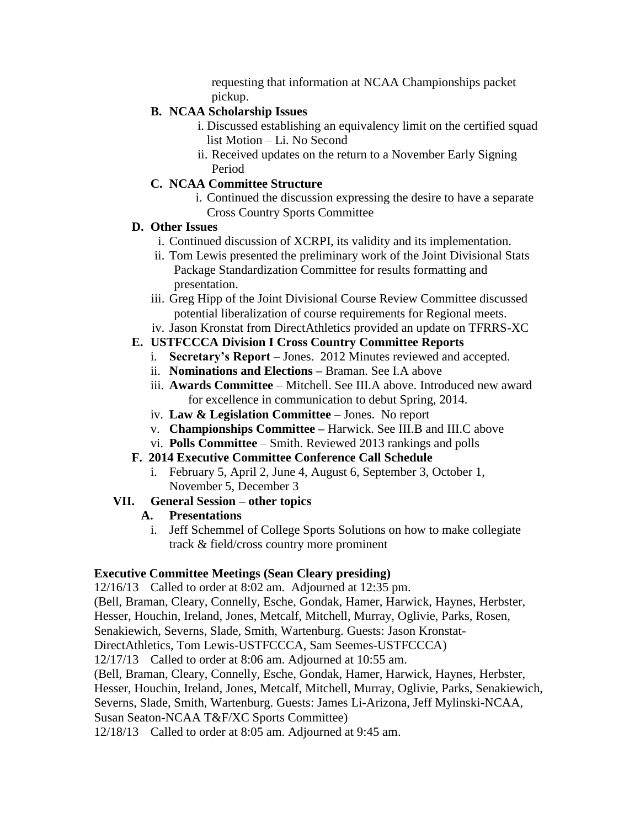requesting that information at NCAA Championships packet pickup.

### **B. NCAA Scholarship Issues**

- i. Discussed establishing an equivalency limit on the certified squad list Motion – Li. No Second
- ii. Received updates on the return to a November Early Signing Period

### **C. NCAA Committee Structure**

i. Continued the discussion expressing the desire to have a separate Cross Country Sports Committee

#### **D. Other Issues**

- i. Continued discussion of XCRPI, its validity and its implementation.
- ii. Tom Lewis presented the preliminary work of the Joint Divisional Stats Package Standardization Committee for results formatting and presentation.
- iii. Greg Hipp of the Joint Divisional Course Review Committee discussed potential liberalization of course requirements for Regional meets.
- iv. Jason Kronstat from DirectAthletics provided an update on TFRRS-XC

# **E. USTFCCCA Division I Cross Country Committee Reports**

- i. **Secretary's Report** Jones. 2012 Minutes reviewed and accepted.
- ii. **Nominations and Elections –** Braman. See I.A above
- iii. **Awards Committee** Mitchell. See III.A above. Introduced new award for excellence in communication to debut Spring, 2014.
- iv. **Law & Legislation Committee**  Jones. No report
- v. **Championships Committee –** Harwick. See III.B and III.C above
- vi. **Polls Committee** Smith. Reviewed 2013 rankings and polls

# **F. 2014 Executive Committee Conference Call Schedule**

i. February 5, April 2, June 4, August 6, September 3, October 1, November 5, December 3

# **VII. General Session – other topics**

#### **A. Presentations**

i. Jeff Schemmel of College Sports Solutions on how to make collegiate track & field/cross country more prominent

#### **Executive Committee Meetings (Sean Cleary presiding)**

12/16/13 Called to order at 8:02 am. Adjourned at 12:35 pm.

(Bell, Braman, Cleary, Connelly, Esche, Gondak, Hamer, Harwick, Haynes, Herbster,

Hesser, Houchin, Ireland, Jones, Metcalf, Mitchell, Murray, Oglivie, Parks, Rosen,

Senakiewich, Severns, Slade, Smith, Wartenburg. Guests: Jason Kronstat-

DirectAthletics, Tom Lewis-USTFCCCA, Sam Seemes-USTFCCCA)

12/17/13 Called to order at 8:06 am. Adjourned at 10:55 am.

(Bell, Braman, Cleary, Connelly, Esche, Gondak, Hamer, Harwick, Haynes, Herbster, Hesser, Houchin, Ireland, Jones, Metcalf, Mitchell, Murray, Oglivie, Parks, Senakiewich, Severns, Slade, Smith, Wartenburg. Guests: James Li-Arizona, Jeff Mylinski-NCAA, Susan Seaton-NCAA T&F/XC Sports Committee)

12/18/13 Called to order at 8:05 am. Adjourned at 9:45 am.